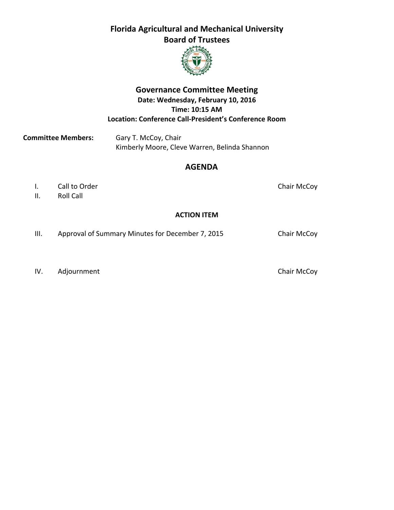

## **Governance Committee Meeting Date: Wednesday, February 10, 2016 Time: 10:15 AM Location: Conference Call‐President's Conference Room**

**Committee Members:** Gary T. McCoy, Chair Kimberly Moore, Cleve Warren, Belinda Shannon

## **AGENDA**

- I. Call to Order **Call to Order** *Chair McCoy*
- II. Roll Call

## **ACTION ITEM**

III. Approval of Summary Minutes for December 7, 2015 Chair McCoy

IV. Adjournment **Chair McCoy**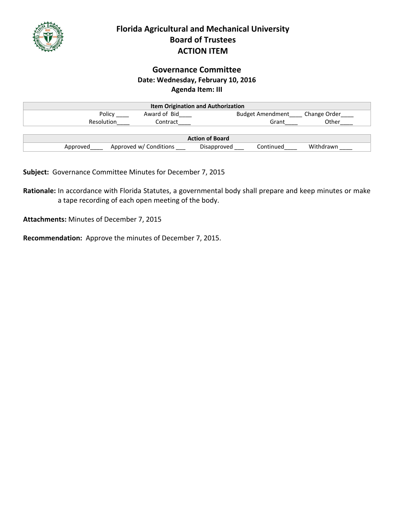

# **Florida Agricultural and Mechanical University Board of Trustees ACTION ITEM**

## **Governance Committee Date: Wednesday, February 10, 2016 Agenda Item: III**

| <b>Item Origination and Authorization</b> |                        |                          |              |
|-------------------------------------------|------------------------|--------------------------|--------------|
| Policy                                    | Award of Bid           | <b>Budget Amendment</b>  | Change Order |
| <b>Resolution</b>                         | Contract               | Grant                    | Other        |
|                                           |                        |                          |              |
| <b>Action of Board</b>                    |                        |                          |              |
| Approved                                  | Approved w/ Conditions | Continued<br>Disapproved | Withdrawn    |

**Subject:** Governance Committee Minutes for December 7, 2015

**Rationale:** In accordance with Florida Statutes, a governmental body shall prepare and keep minutes or make a tape recording of each open meeting of the body.

**Attachments:** Minutes of December 7, 2015

**Recommendation:** Approve the minutes of December 7, 2015.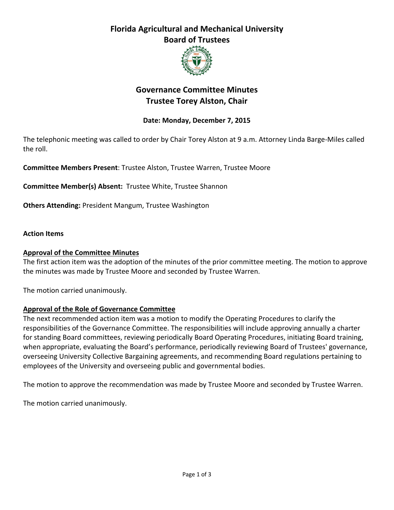

# **Governance Committee Minutes Trustee Torey Alston, Chair**

## **Date: Monday, December 7, 2015**

The telephonic meeting was called to order by Chair Torey Alston at 9 a.m. Attorney Linda Barge-Miles called the roll.

**Committee Members Present**: Trustee Alston, Trustee Warren, Trustee Moore

**Committee Member(s) Absent:** Trustee White, Trustee Shannon

**Others Attending:** President Mangum, Trustee Washington

#### **Action Items**

#### **Approval of the Committee Minutes**

The first action item was the adoption of the minutes of the prior committee meeting. The motion to approve the minutes was made by Trustee Moore and seconded by Trustee Warren.

The motion carried unanimously.

#### **Approval of the Role of Governance Committee**

The next recommended action item was a motion to modify the Operating Procedures to clarify the responsibilities of the Governance Committee. The responsibilities will include approving annually a charter for standing Board committees, reviewing periodically Board Operating Procedures, initiating Board training, when appropriate, evaluating the Board's performance, periodically reviewing Board of Trustees' governance, overseeing University Collective Bargaining agreements, and recommending Board regulations pertaining to employees of the University and overseeing public and governmental bodies.

The motion to approve the recommendation was made by Trustee Moore and seconded by Trustee Warren.

The motion carried unanimously.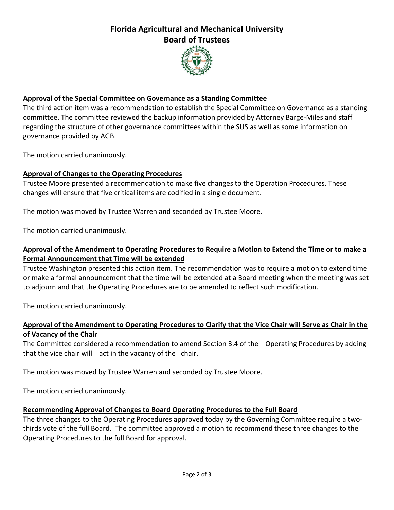

### **Approval of the Special Committee on Governance as a Standing Committee**

The third action item was a recommendation to establish the Special Committee on Governance as a standing committee. The committee reviewed the backup information provided by Attorney Barge‐Miles and staff regarding the structure of other governance committees within the SUS as well as some information on governance provided by AGB.

The motion carried unanimously.

#### **Approval of Changes to the Operating Procedures**

Trustee Moore presented a recommendation to make five changes to the Operation Procedures. These changes will ensure that five critical items are codified in a single document.

The motion was moved by Trustee Warren and seconded by Trustee Moore.

The motion carried unanimously.

### Approval of the Amendment to Operating Procedures to Require a Motion to Extend the Time or to make a **Formal Announcement that Time will be extended**

Trustee Washington presented this action item. The recommendation was to require a motion to extend time or make a formal announcement that the time will be extended at a Board meeting when the meeting was set to adjourn and that the Operating Procedures are to be amended to reflect such modification.

The motion carried unanimously.

#### Approval of the Amendment to Operating Procedures to Clarify that the Vice Chair will Serve as Chair in the **of Vacancy of the Chair**

The Committee considered a recommendation to amend Section 3.4 of the Operating Procedures by adding that the vice chair will act in the vacancy of the chair.

The motion was moved by Trustee Warren and seconded by Trustee Moore.

The motion carried unanimously.

#### **Recommending Approval of Changes to Board Operating Procedures to the Full Board**

The three changes to the Operating Procedures approved today by the Governing Committee require a twothirds vote of the full Board. The committee approved a motion to recommend these three changes to the Operating Procedures to the full Board for approval.